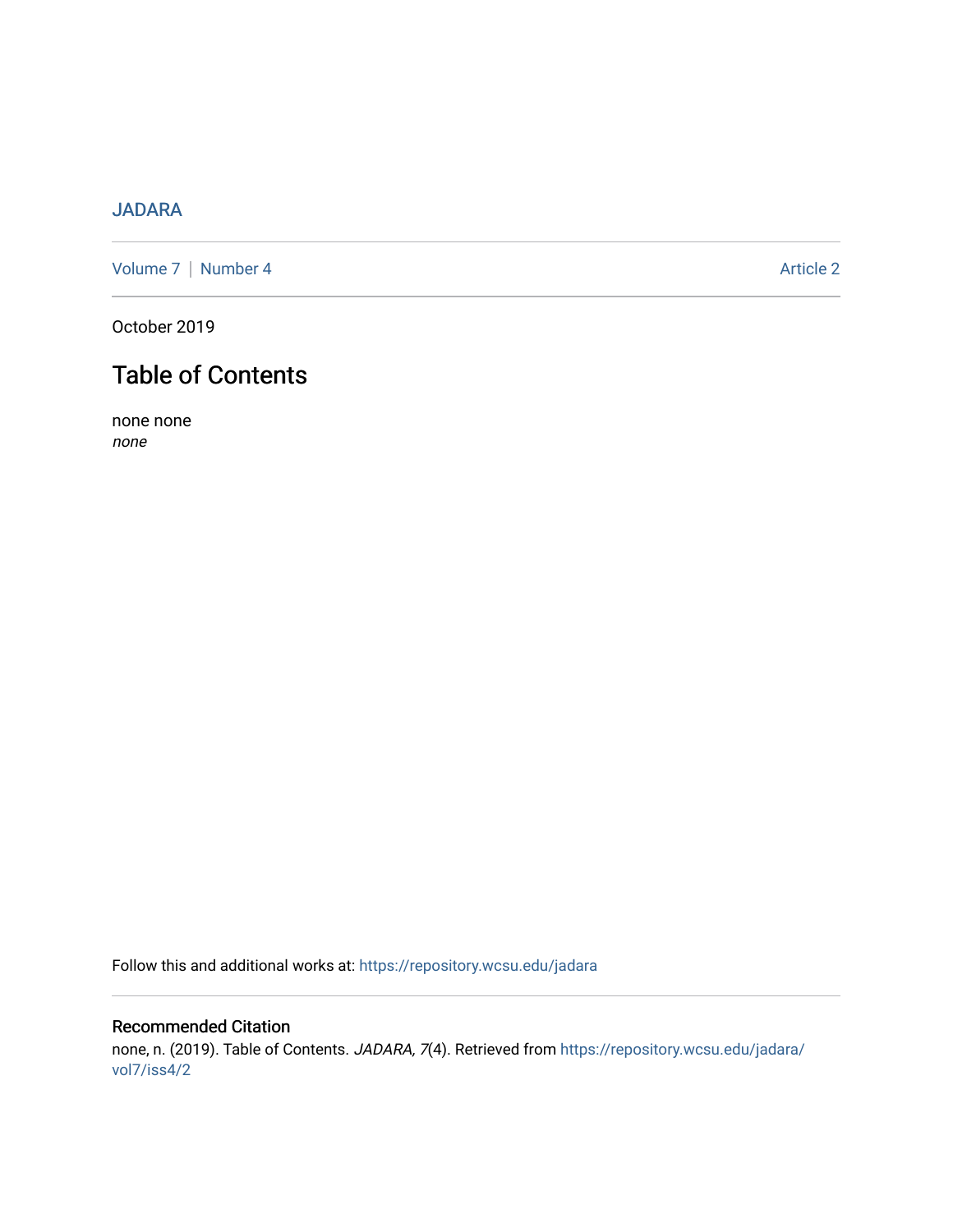## [JADARA](https://repository.wcsu.edu/jadara)

[Volume 7](https://repository.wcsu.edu/jadara/vol7) | [Number 4](https://repository.wcsu.edu/jadara/vol7/iss4) Article 2

October 2019

# Table of Contents

none none none

Follow this and additional works at: [https://repository.wcsu.edu/jadara](https://repository.wcsu.edu/jadara?utm_source=repository.wcsu.edu%2Fjadara%2Fvol7%2Fiss4%2F2&utm_medium=PDF&utm_campaign=PDFCoverPages)

### Recommended Citation none, n. (2019). Table of Contents. JADARA, 7(4). Retrieved from [https://repository.wcsu.edu/jadara/](https://repository.wcsu.edu/jadara/vol7/iss4/2?utm_source=repository.wcsu.edu%2Fjadara%2Fvol7%2Fiss4%2F2&utm_medium=PDF&utm_campaign=PDFCoverPages) [vol7/iss4/2](https://repository.wcsu.edu/jadara/vol7/iss4/2?utm_source=repository.wcsu.edu%2Fjadara%2Fvol7%2Fiss4%2F2&utm_medium=PDF&utm_campaign=PDFCoverPages)